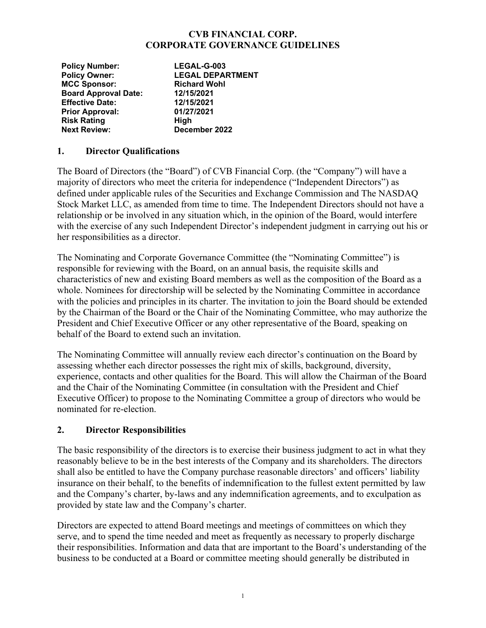#### **CVB FINANCIAL CORP. CORPORATE GOVERNANCE GUIDELINES**

| <b>Policy Number:</b>       | LEGAL-G-003             |
|-----------------------------|-------------------------|
| <b>Policy Owner:</b>        | <b>LEGAL DEPARTMENT</b> |
| <b>MCC Sponsor:</b>         | <b>Richard Wohl</b>     |
| <b>Board Approval Date:</b> | 12/15/2021              |
| <b>Effective Date:</b>      | 12/15/2021              |
| <b>Prior Approval:</b>      | 01/27/2021              |
| <b>Risk Rating</b>          | High                    |
| <b>Next Review:</b>         | December 2022           |

#### **1. Director Qualifications**

The Board of Directors (the "Board") of CVB Financial Corp. (the "Company") will have a majority of directors who meet the criteria for independence ("Independent Directors") as defined under applicable rules of the Securities and Exchange Commission and The NASDAQ Stock Market LLC, as amended from time to time. The Independent Directors should not have a relationship or be involved in any situation which, in the opinion of the Board, would interfere with the exercise of any such Independent Director's independent judgment in carrying out his or her responsibilities as a director.

The Nominating and Corporate Governance Committee (the "Nominating Committee") is responsible for reviewing with the Board, on an annual basis, the requisite skills and characteristics of new and existing Board members as well as the composition of the Board as a whole. Nominees for directorship will be selected by the Nominating Committee in accordance with the policies and principles in its charter. The invitation to join the Board should be extended by the Chairman of the Board or the Chair of the Nominating Committee, who may authorize the President and Chief Executive Officer or any other representative of the Board, speaking on behalf of the Board to extend such an invitation.

The Nominating Committee will annually review each director's continuation on the Board by assessing whether each director possesses the right mix of skills, background, diversity, experience, contacts and other qualities for the Board. This will allow the Chairman of the Board and the Chair of the Nominating Committee (in consultation with the President and Chief Executive Officer) to propose to the Nominating Committee a group of directors who would be nominated for re-election.

### **2. Director Responsibilities**

The basic responsibility of the directors is to exercise their business judgment to act in what they reasonably believe to be in the best interests of the Company and its shareholders. The directors shall also be entitled to have the Company purchase reasonable directors' and officers' liability insurance on their behalf, to the benefits of indemnification to the fullest extent permitted by law and the Company's charter, by-laws and any indemnification agreements, and to exculpation as provided by state law and the Company's charter.

Directors are expected to attend Board meetings and meetings of committees on which they serve, and to spend the time needed and meet as frequently as necessary to properly discharge their responsibilities. Information and data that are important to the Board's understanding of the business to be conducted at a Board or committee meeting should generally be distributed in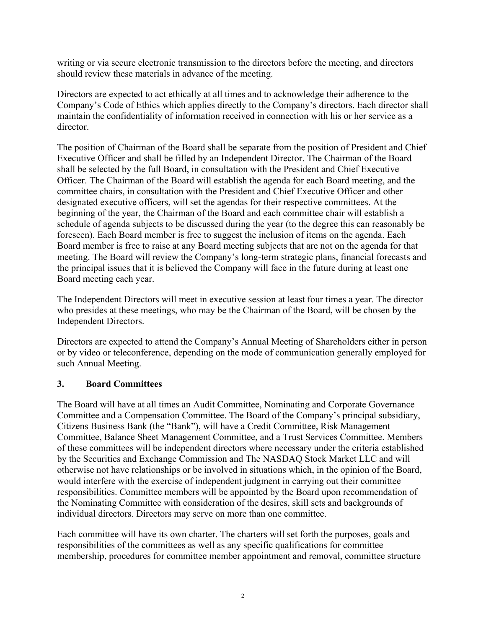writing or via secure electronic transmission to the directors before the meeting, and directors should review these materials in advance of the meeting.

Directors are expected to act ethically at all times and to acknowledge their adherence to the Company's Code of Ethics which applies directly to the Company's directors. Each director shall maintain the confidentiality of information received in connection with his or her service as a director.

The position of Chairman of the Board shall be separate from the position of President and Chief Executive Officer and shall be filled by an Independent Director. The Chairman of the Board shall be selected by the full Board, in consultation with the President and Chief Executive Officer. The Chairman of the Board will establish the agenda for each Board meeting, and the committee chairs, in consultation with the President and Chief Executive Officer and other designated executive officers, will set the agendas for their respective committees. At the beginning of the year, the Chairman of the Board and each committee chair will establish a schedule of agenda subjects to be discussed during the year (to the degree this can reasonably be foreseen). Each Board member is free to suggest the inclusion of items on the agenda. Each Board member is free to raise at any Board meeting subjects that are not on the agenda for that meeting. The Board will review the Company's long-term strategic plans, financial forecasts and the principal issues that it is believed the Company will face in the future during at least one Board meeting each year.

The Independent Directors will meet in executive session at least four times a year. The director who presides at these meetings, who may be the Chairman of the Board, will be chosen by the Independent Directors.

Directors are expected to attend the Company's Annual Meeting of Shareholders either in person or by video or teleconference, depending on the mode of communication generally employed for such Annual Meeting.

### **3. Board Committees**

The Board will have at all times an Audit Committee, Nominating and Corporate Governance Committee and a Compensation Committee. The Board of the Company's principal subsidiary, Citizens Business Bank (the "Bank"), will have a Credit Committee, Risk Management Committee, Balance Sheet Management Committee, and a Trust Services Committee. Members of these committees will be independent directors where necessary under the criteria established by the Securities and Exchange Commission and The NASDAQ Stock Market LLC and will otherwise not have relationships or be involved in situations which, in the opinion of the Board, would interfere with the exercise of independent judgment in carrying out their committee responsibilities. Committee members will be appointed by the Board upon recommendation of the Nominating Committee with consideration of the desires, skill sets and backgrounds of individual directors. Directors may serve on more than one committee.

Each committee will have its own charter. The charters will set forth the purposes, goals and responsibilities of the committees as well as any specific qualifications for committee membership, procedures for committee member appointment and removal, committee structure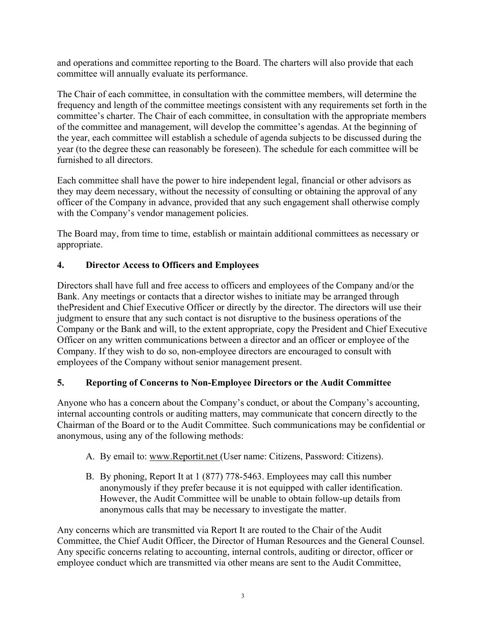and operations and committee reporting to the Board. The charters will also provide that each committee will annually evaluate its performance.

The Chair of each committee, in consultation with the committee members, will determine the frequency and length of the committee meetings consistent with any requirements set forth in the committee's charter. The Chair of each committee, in consultation with the appropriate members of the committee and management, will develop the committee's agendas. At the beginning of the year, each committee will establish a schedule of agenda subjects to be discussed during the year (to the degree these can reasonably be foreseen). The schedule for each committee will be furnished to all directors.

Each committee shall have the power to hire independent legal, financial or other advisors as they may deem necessary, without the necessity of consulting or obtaining the approval of any officer of the Company in advance, provided that any such engagement shall otherwise comply with the Company's vendor management policies.

The Board may, from time to time, establish or maintain additional committees as necessary or appropriate.

# **4. Director Access to Officers and Employees**

Directors shall have full and free access to officers and employees of the Company and/or the Bank. Any meetings or contacts that a director wishes to initiate may be arranged through thePresident and Chief Executive Officer or directly by the director. The directors will use their judgment to ensure that any such contact is not disruptive to the business operations of the Company or the Bank and will, to the extent appropriate, copy the President and Chief Executive Officer on any written communications between a director and an officer or employee of the Company. If they wish to do so, non-employee directors are encouraged to consult with employees of the Company without senior management present.

### **5. Reporting of Concerns to Non-Employee Directors or the Audit Committee**

Anyone who has a concern about the Company's conduct, or about the Company's accounting, internal accounting controls or auditing matters, may communicate that concern directly to the Chairman of the Board or to the Audit Committee. Such communications may be confidential or anonymous, using any of the following methods:

- A. By email to: www.Reportit.net (User name: Citizens, Password: Citizens).
- B. By phoning, Report It at 1 (877) 778-5463. Employees may call this number anonymously if they prefer because it is not equipped with caller identification. However, the Audit Committee will be unable to obtain follow-up details from anonymous calls that may be necessary to investigate the matter.

Any concerns which are transmitted via Report It are routed to the Chair of the Audit Committee, the Chief Audit Officer, the Director of Human Resources and the General Counsel. Any specific concerns relating to accounting, internal controls, auditing or director, officer or employee conduct which are transmitted via other means are sent to the Audit Committee,